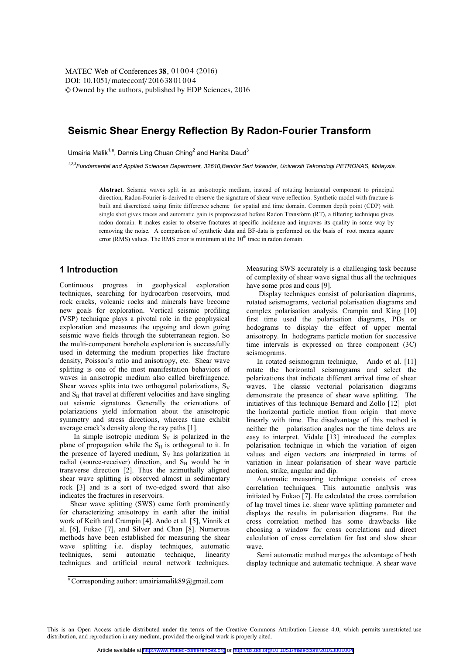MATEC Web of Conferences 38, 01004 (2016) DOI: 10.1051/matecconf/20163801004 © Owned by the authors, published by EDP Sciences, 2016

# **Seismic Shear Energy Reflection By Radon-Fourier Transform**

Umairia Malik<sup>1,a</sup>, Dennis Ling Chuan Ching<sup>2</sup> and Hanita Daud<sup>3</sup>

<sup>1,2,3</sup>Fundamental and Applied Sciences Department, 32610, Bandar Seri Iskandar, Universiti Tekonologi PETRONAS, Malaysia.

Abstract. Seismic waves split in an anisotropic medium, instead of rotating horizontal component to principal direction, Radon-Fourier is derived to observe the signature of shear wave reflection. Synthetic model with fracture is built and discretized using finite difference scheme for spatial and time domain. Common depth point (CDP) with single shot gives traces and automatic gain is preprocessed before Radon Transform (RT), a filtering technique gives radon domain. It makes easier to observe fractures at specific incidence and improves its quality in some way by removing the noise. A comparison of synthetic data and BF-data is performed on the basis of root means square error (RMS) values. The RMS error is minimum at the  $10<sup>th</sup>$  trace in radon domain.

# 1 Introduction

Continuous progress in geophysical exploration techniques, searching for hydrocarbon reservoirs, mud rock cracks, volcanic rocks and minerals have become new goals for exploration. Vertical seismic profiling (VSP) technique plays a pivotal role in the geophysical exploration and measures the upgoing and down going seismic wave fields through the subterranean region. So the multi-component borehole exploration is successfully used in determing the medium properties like fracture density, Poisson's ratio and anisotropy, etc. Shear wave splitting is one of the most manifestation behaviors of waves in anisotropic medium also called birefringence. Shear waves splits into two orthogonal polarizations,  $S_V$ and S<sub>H</sub> that travel at different velocities and have singling out seismic signatures. Generally the orientations of polarizations yield information about the anisotropic symmetry and stress directions, whereas time exhibit average crack's density along the ray paths [1].

In simple isotropic medium  $S_V$  is polarized in the plane of propagation while the  $S_H$  is orthogonal to it. In the presence of layered medium,  $S_V$  has polarization in radial (source-receiver) direction, and S<sub>H</sub> would be in transverse direction [2]. Thus the azimuthally aligned shear wave splitting is observed almost in sedimentary rock [3] and is a sort of two-edged sword that also indicates the fractures in reservoirs.

Shear wave splitting (SWS) came forth prominently for characterizing anisotropy in earth after the initial work of Keith and Crampin [4]. Ando et al. [5], Vinnik et al. [6], Fukao [7], and Silver and Chan [8]. Numerous methods have been established for measuring the shear wave splitting i.e. display techniques, automatic techniques, semi automatic technique, linearity techniques and artificial neural network techniques.

Measuring SWS accurately is a challenging task because of complexity of shear wave signal thus all the techniques have some pros and cons [9].

Display techniques consist of polarisation diagrams, rotated seismograms, vectorial polarisation diagrams and complex polarisation analysis. Crampin and King [10] first time used the polarisation diagrams, PDs or hodograms to display the effect of upper mental anisotropy. In hodograms particle motion for successive time intervals is expressed on three component (3C) seismograms.

In rotated seismogram technique, Ando et al. [11] rotate the horizontal seismograms and select the polarizations that indicate different arrival time of shear waves. The classic vectorial polarisation diagrams demonstrate the presence of shear wave splitting. The initiatives of this technique Bernard and Zollo [12] plot the horizontal particle motion from origin that move linearly with time. The disadvantage of this method is neither the polarisation angles nor the time delays are easy to interpret. Vidale [13] introduced the complex polarisation technique in which the variation of eigen values and eigen vectors are interpreted in terms of variation in linear polarisation of shear wave particle motion, strike, angular and dip.

Automatic measuring technique consists of cross correlation techniques. This automatic analysis was initiated by Fukao [7]. He calculated the cross correlation of lag travel times i.e. shear wave splitting parameter and displays the results in polarisation diagrams. But the cross correlation method has some drawbacks like choosing a window for cross correlations and direct calculation of cross correlation for fast and slow shear waye

Semi automatic method merges the advantage of both display technique and automatic technique. A shear wave

This is an Open Access article distributed under the terms of the Creative Commons Attribution License 4.0, which permits unrestricted use distribution, and reproduction in any medium, provided the original work is properly cited.

<sup>&</sup>lt;sup>a</sup> Corresponding author: umairiamalik89@gmail.com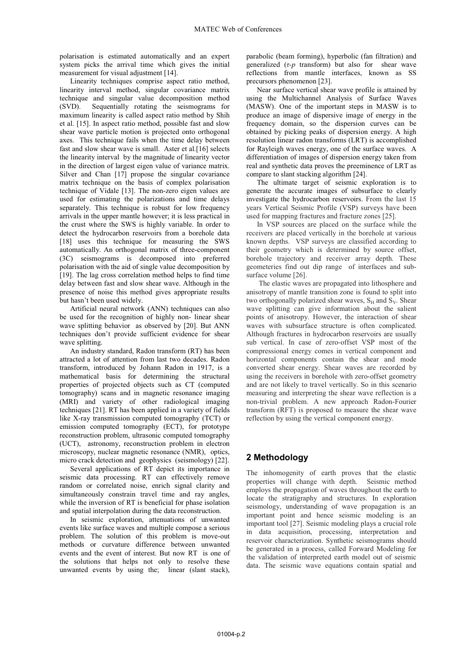polarisation is estimated automatically and an expert system picks the arrival time which gives the initial measurement for visual adjustment [14].

Linearity techniques comprise aspect ratio method, linearity interval method, singular covariance matrix technique and singular value decomposition method Sequentially rotating the seismograms for  $(SVD)$ . maximum linearity is called aspect ratio method by Shih et al. [15]. In aspect ratio method, possible fast and slow shear wave particle motion is projected onto orthogonal axes. This technique fails when the time delay between fast and slow shear wave is small. Aster et al.[16] selects the linearity interval by the magnitude of linearity vector in the direction of largest eigen value of variance matrix. Silver and Chan [17] propose the singular covariance matrix technique on the basis of complex polarisation technique of Vidale [13]. The non-zero eigen values are used for estimating the polarizations and time delays separately. This technique is robust for low frequency arrivals in the upper mantle however; it is less practical in the crust where the SWS is highly variable. In order to detect the hydrocarbon reservoirs from a borehole data [18] uses this technique for measuring the SWS automatically. An orthogonal matrix of three-component (3C) seismograms is decomposed into preferred polarisation with the aid of single value decomposition by [19]. The lag cross correlation method helps to find time delay between fast and slow shear wave. Although in the presence of noise this method gives appropriate results but hasn't been used widely.

Artificial neural network (ANN) techniques can also be used for the recognition of highly non-linear shear wave splitting behavior as observed by [20]. But ANN techniques don't provide sufficient evidence for shear wave splitting.

An industry standard, Radon transform (RT) has been attracted a lot of attention from last two decades. Radon transform, introduced by Johann Radon in 1917, is a mathematical basis for determining the structural properties of projected objects such as CT (computed tomography) scans and in magnetic resonance imaging (MRI) and variety of other radiological imaging techniques [21]. RT has been applied in a variety of fields like X-ray transmission computed tomography (TCT) or emission computed tomography (ECT), for prototype reconstruction problem, ultrasonic computed tomography (UCT), astronomy, reconstruction problem in electron microscopy, nuclear magnetic resonance (NMR), optics, micro crack detection and geophysics (seismology) [22].

Several applications of RT depict its importance in seismic data processing. RT can effectively remove random or correlated noise, enrich signal clarity and simultaneously constrain travel time and ray angles, while the inversion of RT is beneficial for phase isolation and spatial interpolation during the data reconstruction.

In seismic exploration, attenuations of unwanted events like surface waves and multiple compose a serious problem. The solution of this problem is move-out methods or curvature difference between unwanted events and the event of interest. But now RT is one of the solutions that helps not only to resolve these unwanted events by using the; linear (slant stack),

parabolic (beam forming), hyperbolic (fan filtration) and generalized  $(\tau$ -*p* transform) but also for shear wave reflections from mantle interfaces, known as SS precursors phenomenon [23].

Near surface vertical shear wave profile is attained by using the Multichannel Analysis of Surface Waves (MASW). One of the important steps in MASW is to produce an image of dispersive image of energy in the frequency domain, so the dispersion curves can be obtained by picking peaks of dispersion energy. A high resolution linear radon transforms (LRT) is accomplished for Rayleigh waves energy, one of the surface waves. A differentiation of images of dispersion energy taken from real and synthetic data proves the preeminence of LRT as compare to slant stacking algorithm [24].

The ultimate target of seismic exploration is to generate the accurate images of subsurface to clearly investigate the hydrocarbon reservoirs. From the last 15 years Vertical Seismic Profile (VSP) surveys have been used for mapping fractures and fracture zones [25].

In VSP sources are placed on the surface while the receivers are placed vertically in the borehole at various known depths. VSP surveys are classified according to their geometry which is determined by source offset, borehole trajectory and receiver array depth. These geometeries find out dip range of interfaces and subsurface volume [26].

The elastic waves are propagated into lithosphere and anisotropy of mantle transition zone is found to split into two orthogonally polarized shear waves,  $S_H$  and  $S_V$ . Shear wave splitting can give information about the salient points of anisotropy. However, the interaction of shear waves with subsurface structure is often complicated. Although fractures in hydrocarbon reservoirs are usually sub vertical. In case of zero-offset VSP most of the compressional energy comes in vertical component and horizontal components contain the shear and mode converted shear energy. Shear waves are recorded by using the receivers in borehole with zero-offset geometry and are not likely to travel vertically. So in this scenario measuring and interpreting the shear wave reflection is a non-trivial problem. A new approach Radon-Fourier transform (RFT) is proposed to measure the shear wave reflection by using the vertical component energy.

# 2 Methodology

The inhomogenity of earth proves that the elastic properties will change with depth. Seismic method employs the propagation of waves throughout the earth to locate the stratigraphy and structures. In exploration seismology, understanding of wave propagation is an important point and hence seismic modeling is an important tool [27]. Seismic modeling plays a crucial role in data acquisition, processing, interpretation and reservoir characterization. Synthetic seismograms should be generated in a process, called Forward Modeling for the validation of interpreted earth model out of seismic data. The seismic wave equations contain spatial and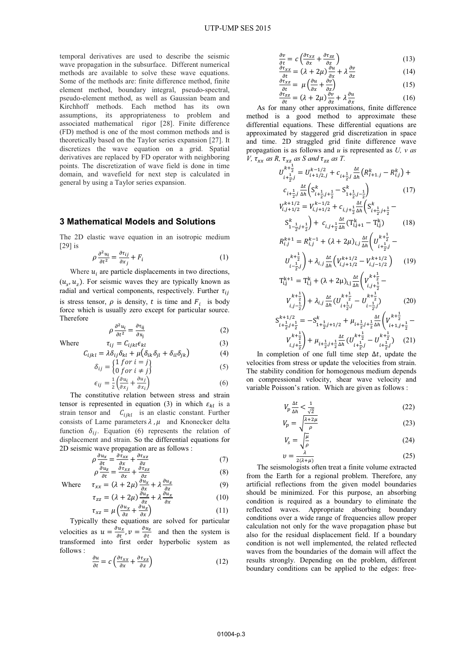temporal derivatives are used to describe the seismic wave propagation in the subsurface. Different numerical methods are available to solve these wave equations. Some of the methods are: finite difference method, finite element method, boundary integral, pseudo-spectral, pseudo-element method, as well as Gaussian beam and Kirchhoff methods. Each method has its own assumptions, its appropriateness to problem and associated mathematical rigor [28]. Finite difference (FD) method is one of the most common methods and is theoretically based on the Taylor series expansion [27]. It discretizes the wave equation on a grid. Spatial derivatives are replaced by FD operator with neighboring points. The discretization of wave field is done in time domain, and wavefield for next step is calculated in general by using a Taylor series expansion.

#### **3 Mathematical Models and Solutions**

The 2D elastic wave equation in an isotropic medium  $\lceil 29 \rceil$  is

$$
\rho \frac{\partial^2 u_i}{\partial t^2} = \frac{\partial \tau_{ij}}{\partial x_j} + F_i \tag{1}
$$

Where  $u_i$  are particle displacements in two directions,  $(u_{\gamma}, u_{\gamma})$ . For seismic waves they are typically known as radial and vertical components, respectively. Further  $\tau_{ij}$ is stress tensor,  $\rho$  is density, t is time and  $F_i$  is body force which is usually zero except for particular source. Therefore

$$
\rho \frac{\partial^2 u_i}{\partial t^2} = \frac{\partial \tau_{ij}}{\partial x_j} \tag{2}
$$

Where 
$$
\tau_{ij} = C_{ijkl} \epsilon_{kl}
$$
(3)  

$$
C_{ijkl} = \lambda \delta_{ij} \delta_{kl} + \mu (\delta_{ik} \delta_{il} + \delta_{il} \delta_{ik})
$$
(4)

$$
\mu_{ijkl} = \Lambda o_{ij} o_{kl} + \mu (o_{ik} o_{jl} + o_{il} o_{jk}) \tag{4}
$$

$$
\delta_{ij} = \begin{cases}\n1 > 0 < i - j \\
0 & \text{for } i \neq j\n\end{cases}
$$
\n
$$
\epsilon_{ij} = \frac{1}{2} \left( \frac{\partial u_i}{\partial x_j} + \frac{\partial u_j}{\partial x_i} \right)
$$
\n
$$
\tag{6}
$$

The constitutive relation between stress and strain tensor is represented in equation (3) in which  $\varepsilon_{kl}$  is a strain tensor and  $C_{ijkl}$  is an elastic constant. Further consists of Lame parameters  $\lambda$ ,  $\mu$  and Knonecker delta function  $\delta_{ij}$ . Equation (6) represents the relation of displacement and strain. So the differential equations for 2D seismic wave propagation are as follows :

$$
\rho \frac{\partial u_x}{\partial t} = \frac{\partial \tau_{xx}}{\partial x} + \frac{\partial \tau_{xz}}{\partial z}
$$
(7)

$$
\rho \frac{\partial u_z}{\partial t} = \frac{\partial v_{xz}}{\partial x} + \frac{\partial v_{zz}}{\partial z}
$$
(8)

Where 
$$
\tau_{xx} = (\lambda + 2\mu) \frac{\partial u_x}{\partial x} + \lambda \frac{\partial u_z}{\partial z}
$$
 (9)  
 $\tau = (\lambda + 2\mu) \frac{\partial u_z}{\partial z} + \lambda \frac{\partial u_x}{\partial z}$  (10)

$$
u_{ZZ} = (\lambda + 2\mu) \frac{\partial}{\partial z} + \lambda \frac{\partial}{\partial x}
$$
(10)  

$$
u_{Z} = u \left( \frac{\partial u_{x}}{\partial x} + \frac{\partial u_{z}}{\partial x} \right)
$$
(11)

$$
\tau_{xz} = \mu \left( \frac{z}{\partial z} + \frac{z}{\partial x} \right)
$$
 (11)  
By these equations are solved for particular

Typically these equations are solved for particular velocities as  $u = \frac{\partial u_x}{\partial t}$ ,  $v = \frac{\partial u_z}{\partial t}$  and then the system is transformed into first order hyperbolic system as follows:

$$
\frac{\partial u}{\partial t} = c \left( \frac{\partial \tau_{xx}}{\partial x} + \frac{\partial \tau_{xz}}{\partial z} \right) \tag{12}
$$

$$
\frac{\partial v}{\partial t} = c \left( \frac{\partial \tau_{xz}}{\partial x} + \frac{\partial \tau_{zz}}{\partial z} \right) \tag{13}
$$

$$
\frac{\partial \tau_{xx}}{\partial t} = (\lambda + 2\mu) \frac{\partial u}{\partial x} + \lambda \frac{\partial v}{\partial z}
$$
(14)

$$
\frac{\partial u_{xz}}{\partial t} = \mu \left( \frac{\partial u}{\partial x} + \frac{\partial v}{\partial z} \right) \tag{15}
$$

$$
\frac{\partial^2 z}{\partial t} = (\lambda + 2\mu) \frac{\partial^2 z}{\partial x} + \lambda \frac{\partial^2 z}{\partial x}
$$
 (16)  
many other approximations, finite difference

 $A \in \text{for}$ method is a good method to approximate these differential equations. These differential equations are approximated by staggered grid discretization in space and time. 2D straggled grid finite difference wave propagation is as follows and  $u$  is represented as  $U$ ,  $v$  as V,  $\tau_{rr}$  as R,  $\tau_{rr}$  as S and  $\tau_{zz}$  as T.

$$
U_{i+\frac{1}{2},j}^{k+\frac{1}{2}} = U_{i+1/2,j}^{k-1/2} + c_{i+\frac{1}{2},j} \frac{\Delta t}{\Delta h} \left( R_{I+1,j}^k - R_{i,j}^k \right) +
$$
  
\n
$$
c_{i+\frac{1}{2},j} \frac{\Delta t}{\Delta h} \left( S_{i+\frac{1}{2},j+\frac{1}{2}}^k - S_{i+\frac{1}{2},j-\frac{1}{2}}^k \right) \qquad (17)
$$
  
\n
$$
V_{i,j+1/2}^{k+1/2} = V_{i,j+1/2}^{k-1/2} + c_{i,j+\frac{1}{2}} \frac{\Delta t}{\Delta h} \left( S_{i+\frac{1}{2},j+\frac{1}{2}}^k - S_{i,j+1}^k \right) + c_{i,j+\frac{1}{2}} \frac{\Delta t}{\Delta h} \left( T_{i,j+1}^k - T_{i,j}^k \right) \qquad (18)
$$

$$
1-\frac{1}{2}j+\frac{1}{2}j
$$
  
\n
$$
R_{i,j}^{k+1} = R_{i,j}^{k-1} + (\lambda + 2\mu)_{i,j} \frac{\Delta t}{\Delta h} \left( U_{i+\frac{1}{2},j}^{k+\frac{1}{2}} - U_{i+\frac{1}{2},j}^{k+\frac{1}{2}} - U_{i+\frac{1}{2},j}^{k+\frac{1}{2}} - U_{i+\frac{1}{2},j}^{k+\frac{1}{2}} - U_{i+\frac{1}{2},j}^{k+\frac{1}{2}} \right)
$$

$$
U_{i-\frac{1}{2},j}^{k+\frac{1}{2}} + \lambda_{i,j} \frac{\Delta t}{\Delta h} \left( V_{i,j+1/2}^{k+1/2} - V_{i,j-1/2}^{k+1/2} \right) \tag{19}
$$

$$
T_{i,j}^{k+1} = T_{i,j}^{k} + (\lambda + 2\mu)_{i,j} \frac{\Delta t}{\Delta h} \left( V_{i,j+\frac{1}{2}}^{k+1} - V_{i,j-\frac{1}{2}}^{k+\frac{1}{2}} \right) + \lambda_{i,j} \frac{\Delta t}{\Delta h} \left( U_{i+\frac{1}{2},j}^{k+\frac{1}{2}} - U_{i-\frac{1}{2},j}^{k+\frac{1}{2}} \right) \tag{20}
$$

$$
\begin{array}{l} S_{i+\frac{1}{2},j+\frac{1}{2}}^{k+1/2} = -S_{1+\frac{1}{2},j+1/2}^{k} + \mu_{i+\frac{1}{2},j+\frac{1}{2}} \frac{\Delta t}{\Delta h} \left( V_{i+1,j+\frac{1}{2}}^{k+\frac{1}{2}} - V_{i,j+\frac{1}{2}}^{k+\frac{1}{2}} \right. \\ \left. V_{i,j+\frac{1}{2}}^{k+\frac{1}{2}} \right) + \mu_{i+\frac{1}{2},j+\frac{1}{2}} \frac{\Delta t}{\Delta h} \big( U_{i+\frac{1}{2},j}^{k+\frac{1}{2}} - U_{i+\frac{1}{2},j}^{k+\frac{1}{2}} \big) \quad (21) \end{array}
$$

In completion of one full time step  $\Delta t$ , update the velocities from stress or update the velocities from strain. The stability condition for homogenous medium depends on compressional velocity, shear wave velocity and variable Poisson's ration. Which are given as follows :

$$
V_p \frac{\Delta t}{\Delta h} < \frac{1}{\sqrt{2}}\tag{22}
$$

$$
V_p = \sqrt{\frac{\lambda + 2\mu}{\rho}}\tag{23}
$$

$$
V_s = \sqrt{\frac{\mu}{\rho}}\tag{24}
$$

$$
v = \frac{\lambda}{2(\lambda + \mu)}
$$
(25)

The seismologists often treat a finite volume extracted from the Earth for a regional problem. Therefore, any artificial reflections from the given model boundaries should be minimized. For this purpose, an absorbing condition is required as a boundary to eliminate the reflected waves. Appropriate absorbing boundary conditions over a wide range of frequencies allow proper calculation not only for the wave propagation phase but also for the residual displacement field. If a boundary condition is not well implemented, the related reflected waves from the boundaries of the domain will affect the results strongly. Depending on the problem, different boundary conditions can be applied to the edges: free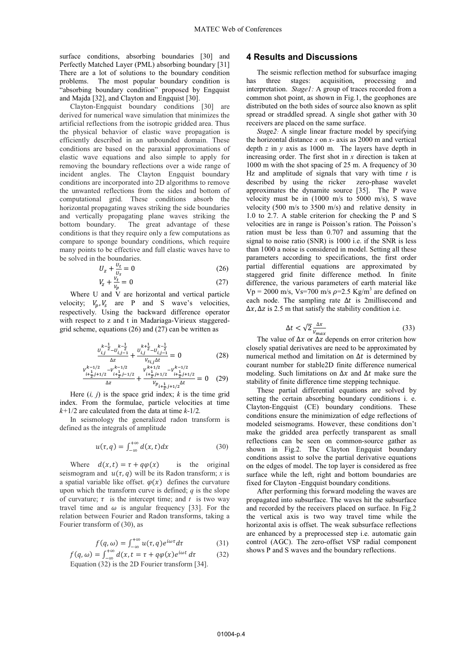surface conditions, absorbing boundaries [30] and Perfectly Matched Layer (PML) absorbing boundary [31] There are a lot of solutions to the boundary condition problems. The most popular boundary condition is "absorbing boundary condition" proposed by Engquist and Majda [32], and Clayton and Engquist [30].

Clayton-Engquist boundary conditions [30] are derived for numerical wave simulation that minimizes the artificial reflections from the isotropic gridded area. Thus the physical behavior of elastic wave propagation is efficiently described in an unbounded domain. These conditions are based on the paraxial approximations of elastic wave equations and also simple to apply for removing the boundary reflections over a wide range of incident angles. The Clayton Engquist boundary conditions are incorporated into 2D algorithms to remove the unwanted reflections from the sides and bottom of computational grid. These conditions absorb the horizontal propagating waves striking the side boundaries and vertically propagating plane waves striking the bottom boundary. The great advantage of these conditions is that they require only a few computations as compare to sponge boundary conditions, which require many points to be effective and full elastic waves have to be solved in the boundaries.

$$
U_z + \frac{v_t}{v_s} = 0\tag{26}
$$

$$
V_z + \frac{v_t}{v_p} = 0 \tag{27}
$$

Where U and V are horizontal and vertical particle velocity;  $V_n$ ,  $V_s$  are P and S wave's velocities, respectively. Using the backward difference operator with respect to z and t in Madariaga-Virieux staggeredgrid scheme, equations  $(26)$  and  $(27)$  can be written as

$$
\frac{v_{i,j}^{k-\frac{1}{2}} - v_{i,j-1}^{k-\frac{1}{2}}}{\Delta z} + \frac{v_{i,j}^{k+\frac{1}{2}} - v_{i,j-1}^{k-\frac{1}{2}}}{v_{s_{i,j}}\Delta t} = 0
$$
\n(28)

$$
\frac{v_{i+\frac{1}{2},j+1/2}^{k-1/2} - v_{i+\frac{1}{2},j-1/2}^{k-1/2}}{\Delta z} + \frac{v_{i+\frac{1}{2},j+1/2}^{k+1/2} - v_{i+\frac{1}{2},j+1/2}^{k-1/2}}{v_{pi_{i+\frac{1}{2},j+1/2}}\Delta t} = 0 \quad (29)
$$

Here  $(i, j)$  is the space grid index; k is the time grid index. From the formulae, particle velocities at time  $k+1/2$  are calculated from the data at time  $k-1/2$ .

In seismology the generalized radon transform is defined as the integrals of amplitude

$$
u(\tau, q) = \int_{-\infty}^{+\infty} d(x, t) dx \tag{30}
$$

Where  $d(x, t) = \tau + q\varphi(x)$ is the original seismogram and  $u(\tau, q)$  will be its Radon transform; x is a spatial variable like offset.  $\varphi(x)$  defines the curvature upon which the transform curve is defined;  $q$  is the slope of curvature;  $\tau$  is the intercept time; and t is two way travel time and  $\omega$  is angular frequency [33]. For the relation between Fourier and Radon transforms, taking a Fourier transform of (30), as

$$
f(q,\omega) = \int_{-\infty}^{+\infty} u(\tau,q)e^{i\omega\tau}d\tau
$$
 (31)

$$
f(q, \omega) = \int_{-\infty}^{+\infty} d(x, t = \tau + q\varphi(x)e^{i\omega t} d\tau
$$
 (32)

Equation (32) is the 2D Fourier transform [34].

### **4 Results and Discussions**

The seismic reflection method for subsurface imaging has three stages: acquisition, processing and interpretation. Stage1: A group of traces recorded from a common shot point, as shown in Fig.1, the geophones are distributed on the both sides of source also known as split spread or straddled spread. A single shot gather with 30 receivers are placed on the same surface.

*Stage2*: A single linear fracture model by specifying the horizontal distance  $x$  on  $x$ - axis as 2000 m and vertical depth  $z$  in  $y$  axis as 1000 m. The layers have depth in increasing order. The first shot in  $x$  direction is taken at 1000 m with the shot spacing of 25 m. A frequency of 30 Hz and amplitude of signals that vary with time  $t$  is described by using the ricker zero-phase wavelet approximates the dynamite source [35]. The P wave velocity must be in  $(1000 \text{ m/s}$  to 5000 m/s), S wave velocity (500 m/s to 3500 m/s) and relative density in 1.0 to 2.7. A stable criterion for checking the P and S velocities are in range is Poisson's ration. The Poisson's ration must be less than 0.707 and assuming that the signal to noise ratio (SNR) is 1000 i.e. if the SNR is less than 1000 a noise is considered in model. Setting all these parameters according to specifications, the first order partial differential equations are approximated by staggered grid finite difference method. In finite difference, the various parameters of earth material like  $Vp = 2000$  m/s, Vs=700 m/s  $\rho = 2.5$  Kg/m<sup>3</sup> are defined on each node. The sampling rate  $\Delta t$  is 2millisecond and  $\Delta x$ ,  $\Delta z$  is 2.5 m that satisfy the stability condition i.e.

$$
\Delta t < \sqrt{2} \frac{\Delta x}{v_{max}} \tag{33}
$$

The value of  $\Delta x$  or  $\Delta z$  depends on error criterion how closely spatial derivatives are need to be approximated by numerical method and limitation on  $\Delta t$  is determined by courant number for stable 2D finite difference numerical modeling. Such limitations on  $\Delta x$  and  $\Delta t$  make sure the stability of finite difference time stepping technique.

These partial differential equations are solved by setting the certain absorbing boundary conditions i. e. Clayton-Engquist (CE) boundary conditions. These conditions ensure the minimization of edge reflections of modeled seismograms. However, these conditions don't make the gridded area perfectly transparent as small reflections can be seen on common-source gather as shown in Fig.2. The Clayton Engquist boundary conditions assist to solve the partial derivative equations on the edges of model. The top layer is considered as free surface while the left, right and bottom boundaries are fixed for Clayton - Engquist boundary conditions.

After performing this forward modeling the waves are propagated into subsurface. The waves hit the subsurface and recorded by the receivers placed on surface. In Fig.2 the vertical axis is two way travel time while the horizontal axis is offset. The weak subsurface reflections are enhanced by a preprocessed step i.e. automatic gain control (AGC). The zero-offset VSP radial component shows P and S waves and the boundary reflections.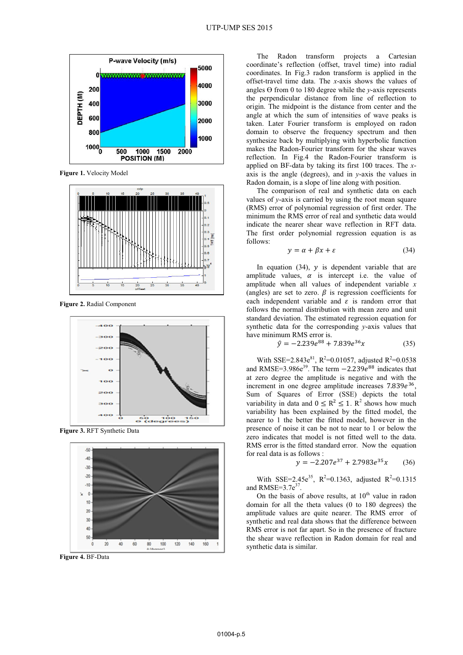

Figure 1. Velocity Model



Figure 2. Radial Component



Figure 3. RFT Synthetic Data



Figure 4. BF-Data

The Radon transform projects a Cartesian coordinate's reflection (offset, travel time) into radial coordinates. In Fig.3 radon transform is applied in the offset-travel time data. The x-axis shows the values of angles  $\Theta$  from 0 to 180 degree while the y-axis represents the perpendicular distance from line of reflection to origin. The midpoint is the distance from center and the angle at which the sum of intensities of wave peaks is taken. Later Fourier transform is employed on radon domain to observe the frequency spectrum and then synthesize back by multiplying with hyperbolic function makes the Radon-Fourier transform for the shear waves reflection. In Fig.4 the Radon-Fourier transform is applied on BF-data by taking its first 100 traces. The xaxis is the angle (degrees), and in y-axis the values in Radon domain, is a slope of line along with position.

The comparison of real and synthetic data on each values of y-axis is carried by using the root mean square (RMS) error of polynomial regression of first order. The minimum the RMS error of real and synthetic data would indicate the nearer shear wave reflection in RFT data. The first order polynomial regression equation is as follows:

$$
y = \alpha + \beta x + \varepsilon \tag{34}
$$

In equation  $(34)$ , y is dependent variable that are amplitude values,  $\alpha$  is intercept i.e. the value of amplitude when all values of independent variable  $x$ (angles) are set to zero.  $\beta$  is regression coefficients for each independent variable and  $\varepsilon$  is random error that follows the normal distribution with mean zero and unit standard deviation. The estimated regression equation for synthetic data for the corresponding y-axis values that have minimum RMS error is.

$$
\hat{v} = -2.239e^{88} + 7.839e^{36}x \tag{35}
$$

With SSE=2.843e<sup>81</sup>, R<sup>2</sup>=0.01057, adjusted R<sup>2</sup>=0.0538 and RMSE=3.986 $e^{39}$ . The term  $-2.239e^{88}$  indicates that at zero degree the amplitude is negative and with the increment in one degree amplitude increases  $7.839e^{36}$ , Sum of Squares of Error (SSE) depicts the total variability in data and  $0 \le R^2 \le 1$ .  $R^2$  shows how much variability has been explained by the fitted model, the nearer to 1 the better the fitted model, however in the presence of noise it can be not to near to 1 or below the zero indicates that model is not fitted well to the data. RMS error is the fitted standard error. Now the equation for real data is as follows :

$$
y = -2.207e^{37} + 2.7983e^{35}x \qquad (36)
$$

With SSE=2.45e<sup>35</sup>, R<sup>2</sup>=0.1363, adjusted R<sup>2</sup>=0.1315 and RMSE= $3.7e^{37}$ .

On the basis of above results, at  $10^{th}$  value in radon domain for all the theta values (0 to 180 degrees) the amplitude values are quite nearer. The RMS error of synthetic and real data shows that the difference between RMS error is not far apart. So in the presence of fracture the shear wave reflection in Radon domain for real and synthetic data is similar.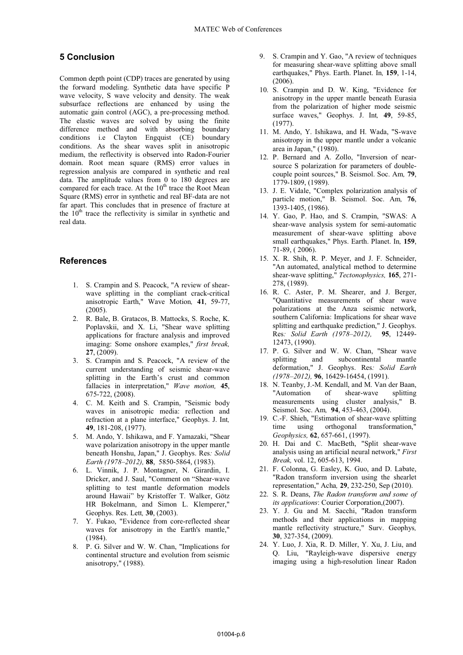# 5 Conclusion

Common depth point (CDP) traces are generated by using the forward modeling. Synthetic data have specific P wave velocity, S wave velocity and density. The weak subsurface reflections are enhanced by using the automatic gain control (AGC), a pre-processing method. The elastic waves are solved by using the finite difference method and with absorbing boundary conditions i.e Clayton Engquist (CE) boundary conditions. As the shear waves split in anisotropic medium, the reflectivity is observed into Radon-Fourier domain. Root mean square (RMS) error values in regression analysis are compared in synthetic and real data. The amplitude values from 0 to 180 degrees are compared for each trace. At the 10<sup>th</sup> trace the Root Mean Square (RMS) error in synthetic and real BF-data are not far apart. This concludes that in presence of fracture at the 10<sup>th</sup> trace the reflectivity is similar in synthetic and real data.

#### **References**

- 1. S. Crampin and S. Peacock, "A review of shearwave splitting in the compliant crack-critical anisotropic Earth," Wave Motion, 41, 59-77,  $(2005).$
- 2. R. Bale, B. Gratacos, B. Mattocks, S. Roche, K. Poplavskii, and X. Li, "Shear wave splitting applications for fracture analysis and improved imaging: Some onshore examples," first break,  $27, (2009).$
- 3. S. Crampin and S. Peacock, "A review of the current understanding of seismic shear-wave splitting in the Earth's crust and common fallacies in interpretation," Wave motion, 45, 675-722, (2008).
- 4. C. M. Keith and S. Crampin, "Seismic body waves in anisotropic media: reflection and refraction at a plane interface," Geophys. J. Int, 49, 181-208, (1977).
- 5. M. Ando, Y. Ishikawa, and F. Yamazaki, "Shear wave polarization anisotropy in the upper mantle beneath Honshu, Japan," J. Geophys. Res: Solid Earth (1978-2012), 88, 5850-5864, (1983).
- 6. L. Vinnik, J. P. Montagner, N. Girardin, I. Dricker, and J. Saul, "Comment on "Shear-wave splitting to test mantle deformation models around Hawaii" by Kristoffer T. Walker, Götz HR Bokelmann, and Simon L. Klemperer," Geophys. Res. Lett, 30, (2003).
- 7. Y. Fukao, "Evidence from core-reflected shear waves for anisotropy in the Earth's mantle,"  $(1984)$ .
- 8. P. G. Silver and W. W. Chan, "Implications for continental structure and evolution from seismic anisotropy," (1988).
- 9. S. Crampin and Y. Gao, "A review of techniques for measuring shear-wave splitting above small earthquakes," Phys. Earth. Planet. In, 159, 1-14,  $(2006).$
- 10. S. Crampin and D. W. King, "Evidence for anisotropy in the upper mantle beneath Eurasia from the polarization of higher mode seismic surface waves," Geophys. J. Int, 49, 59-85,  $(1977)$ .
- 11. M. Ando, Y. Ishikawa, and H. Wada, "S-wave anisotropy in the upper mantle under a volcanic area in Japan,"  $(1980)$ .
- 12. P. Bernard and A. Zollo, "Inversion of nearsource S polarization for parameters of doublecouple point sources," B. Seismol. Soc. Am, 79, 1779-1809, (1989).
- 13. J. E. Vidale, "Complex polarization analysis of particle motion," B. Seismol. Soc. Am, 76, 1393-1405, (1986).
- 14. Y. Gao, P. Hao, and S. Crampin, "SWAS: A shear-wave analysis system for semi-automatic measurement of shear-wave splitting above small earthquakes," Phys. Earth. Planet. In, 159, 71-89, (2006).
- 15. X. R. Shih, R. P. Meyer, and J. F. Schneider, "An automated, analytical method to determine shear-wave splitting," Tectonophysics, 165, 271-278, (1989).
- 16. R. C. Aster, P. M. Shearer, and J. Berger, "Quantitative measurements of shear wave polarizations at the Anza seismic network, southern California: Implications for shear wave splitting and earthquake prediction," J. Geophys. Res: Solid Earth (1978-2012), 95, 12449-12473, (1990).
- 17. P. G. Silver and W. W. Chan, "Shear wave splitting and subcontinental mantle deformation," J. Geophys. Res: Solid Earth  $(1978-2012)$ , 96, 16429-16454, (1991).
- 18. N. Teanby, J.-M. Kendall, and M. Van der Baan, "Automation of shear-wave splitting measurements using cluster analysis," B. Seismol. Soc. Am, 94, 453-463, (2004).
- 19. C.-F. Shieh, "Estimation of shear-wave splitting time using orthogonal transformation," Geophysics, 62, 657-661, (1997).
- 20. H. Dai and C. MacBeth, "Split shear-wave analysis using an artificial neural network," First Break, vol. 12, 605-613, 1994.
- 21. F. Colonna, G. Easley, K. Guo, and D. Labate, "Radon transform inversion using the shearlet representation," Acha, 29, 232-250, Sep (2010).
- 22. S. R. Deans, The Radon transform and some of its applications: Courier Corporation, (2007).
- 23. Y. J. Gu and M. Sacchi, "Radon transform methods and their applications in mapping mantle reflectivity structure," Surv. Geophys, 30, 327-354, (2009).
- 24. Y. Luo, J. Xia, R. D. Miller, Y. Xu, J. Liu, and Q. Liu, "Rayleigh-wave dispersive energy imaging using a high-resolution linear Radon